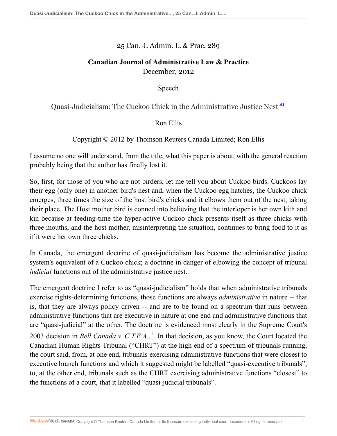25 Can. J. Admin. L. & Prac. 289

## **Canadian Journal of Administrative Law & Practice** December, 2012

<span id="page-0-0"></span>Speech

Quasi-Judicialism: The Cuckoo Chick in the Administrative Justice Nest [a1](#page-9-0)

Ron Ellis

Copyright © 2012 by Thomson Reuters Canada Limited; Ron Ellis

I assume no one will understand, from the title, what this paper is about, with the general reaction probably being that the author has finally lost it.

So, first, for those of you who are not birders, let me tell you about Cuckoo birds. Cuckoos lay their egg (only one) in another bird's nest and, when the Cuckoo egg hatches, the Cuckoo chick emerges, three times the size of the host bird's chicks and it elbows them out of the nest, taking their place. The Host mother bird is conned into believing that the interloper is her own kith and kin because at feeding-time the hyper-active Cuckoo chick presents itself as three chicks with three mouths, and the host mother, misinterpreting the situation, continues to bring food to it as if it were her own three chicks.

In Canada, the emergent doctrine of quasi-judicialism has become the administrative justice system's equivalent of a Cuckoo chick; a doctrine in danger of elbowing the concept of tribunal *judicial* functions out of the administrative justice nest.

<span id="page-0-1"></span>The emergent doctrine I refer to as "quasi-judicialism" holds that when administrative tribunals exercise rights-determining functions, those functions are always *administrative* in nature -- that is, that they are always policy driven -- and are to be found on a spectrum that runs between administrative functions that are executive in nature at one end and administrative functions that are "quasi-judicial" at the other. The doctrine is evidenced most clearly in the Supreme Court's 2003 decision in *Bell Canada v. C.T.E.A.*. [1](#page-9-1) In that decision, as you know, the Court located the Canadian Human Rights Tribunal ("CHRT") at the high end of a spectrum of tribunals running, the court said, from, at one end, tribunals exercising administrative functions that were closest to executive branch functions and which it suggested might be labelled "quasi-executive tribunals", to, at the other end, tribunals such as the CHRT exercising administrative functions "closest" to the functions of a court, that it labelled "quasi-judicial tribunals".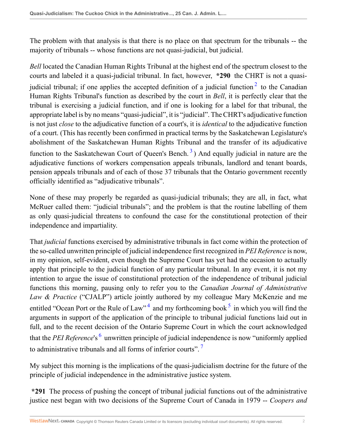The problem with that analysis is that there is no place on that spectrum for the tribunals -- the majority of tribunals -- whose functions are not quasi-judicial, but judicial.

<span id="page-1-0"></span>*Bell* located the Canadian Human Rights Tribunal at the highest end of the spectrum closest to the courts and labeled it a quasi-judicial tribunal. In fact, however, **\*290** the CHRT is not a quasijudicial tribunal; if one applies the accepted definition of a judicial function  $2$  to the Canadian Human Rights Tribunal's function as described by the court in *Bell*, it is perfectly clear that the tribunal is exercising a judicial function, and if one is looking for a label for that tribunal, the appropriate label is by no means "quasi-judicial", it is "judicial". The CHRT's adjudicative function is not just *close* to the adjudicative function of a court's, it is *identical* to the adjudicative function of a court. (This has recently been confirmed in practical terms by the Saskatchewan Legislature's abolishment of the Saskatchewan Human Rights Tribunal and the transfer of its adjudicative function to the Saskatchewan Court of Queen's Bench.<sup>[3](#page-10-1)</sup>) And equally judicial in nature are the adjudicative functions of workers compensation appeals tribunals, landlord and tenant boards, pension appeals tribunals and of each of those 37 tribunals that the Ontario government recently officially identified as "adjudicative tribunals".

<span id="page-1-1"></span>None of these may properly be regarded as quasi-judicial tribunals; they are all, in fact, what McRuer called them: "judicial tribunals"; and the problem is that the routine labelling of them as only quasi-judicial threatens to confound the case for the constitutional protection of their independence and impartiality.

That *judicial* functions exercised by administrative tribunals in fact come within the protection of the so-called unwritten principle of judicial independence first recognized in *PEI Reference* is now, in my opinion, self-evident, even though the Supreme Court has yet had the occasion to actually apply that principle to the judicial function of any particular tribunal. In any event, it is not my intention to argue the issue of constitutional protection of the independence of tribunal judicial functions this morning, pausing only to refer you to the *Canadian Journal of Administrative Law & Practice* ("CJALP") article jointly authored by my colleague Mary McKenzie and me entitled "Ocean Port or the Rule of Law"<sup>[4](#page-10-2)</sup> and my forthcoming book<sup>[5](#page-10-3)</sup> in which you will find the arguments in support of the application of the principle to tribunal judicial functions laid out in full, and to the recent decision of the Ontario Supreme Court in which the court acknowledged that the *PEI Reference*'s <sup>[6](#page-10-4)</sup> unwritten principle of judicial independence is now "uniformly applied to administrative tribunals and all forms of inferior courts".<sup>[7](#page-10-5)</sup>

<span id="page-1-5"></span><span id="page-1-4"></span><span id="page-1-3"></span><span id="page-1-2"></span>My subject this morning is the implications of the quasi-judicialism doctrine for the future of the principle of judicial independence in the administrative justice system.

**\*291** The process of pushing the concept of tribunal judicial functions out of the administrative justice nest began with two decisions of the Supreme Court of Canada in 1979 -- *Coopers and*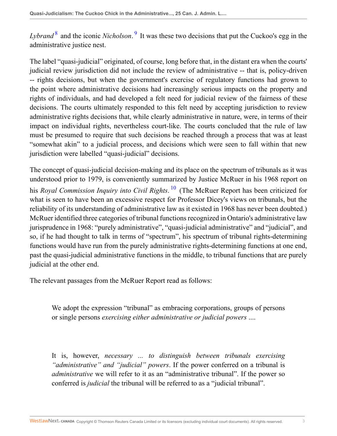<span id="page-2-1"></span><span id="page-2-0"></span>Lybrand<sup>[8](#page-10-6)</sup> and the iconic *Nicholson*.<sup>[9](#page-10-7)</sup> It was these two decisions that put the Cuckoo's egg in the administrative justice nest.

The label "quasi-judicial" originated, of course, long before that, in the distant era when the courts' judicial review jurisdiction did not include the review of administrative -- that is, policy-driven -- rights decisions, but when the government's exercise of regulatory functions had grown to the point where administrative decisions had increasingly serious impacts on the property and rights of individuals, and had developed a felt need for judicial review of the fairness of these decisions. The courts ultimately responded to this felt need by accepting jurisdiction to review administrative rights decisions that, while clearly administrative in nature, were, in terms of their impact on individual rights, nevertheless court-like. The courts concluded that the rule of law must be presumed to require that such decisions be reached through a process that was at least "somewhat akin" to a judicial process, and decisions which were seen to fall within that new jurisdiction were labelled "quasi-judicial" decisions.

<span id="page-2-2"></span>The concept of quasi-judicial decision-making and its place on the spectrum of tribunals as it was understood prior to 1979, is conveniently summarized by Justice McRuer in his 1968 report on his *Royal Commission Inquiry into Civil Rights*. [10](#page-10-8) (The McRuer Report has been criticized for what is seen to have been an excessive respect for Professor Dicey's views on tribunals, but the reliability of its understanding of administrative law as it existed in 1968 has never been doubted.) McRuer identified three categories of tribunal functions recognized in Ontario's administrative law jurisprudence in 1968: "purely administrative", "quasi-judicial administrative" and "judicial", and so, if he had thought to talk in terms of "spectrum", his spectrum of tribunal rights-determining functions would have run from the purely administrative rights-determining functions at one end, past the quasi-judicial administrative functions in the middle, to tribunal functions that are purely judicial at the other end.

The relevant passages from the McRuer Report read as follows:

We adopt the expression "tribunal" as embracing corporations, groups of persons or single persons *exercising either administrative or judicial powers* ....

It is, however, *necessary ... to distinguish between tribunals exercising "administrative" and "judicial" powers*. If the power conferred on a tribunal is *administrative* we will refer to it as an "administrative tribunal". If the power so conferred is *judicial* the tribunal will be referred to as a "judicial tribunal".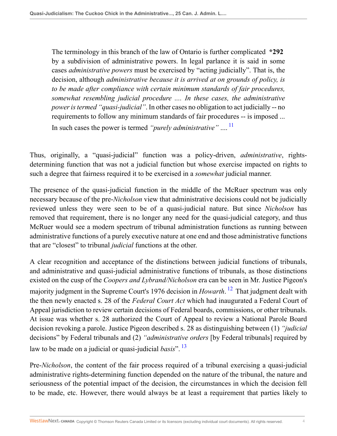<span id="page-3-0"></span>The terminology in this branch of the law of Ontario is further complicated **\*292** by a subdivision of administrative powers. In legal parlance it is said in some cases *administrative powers* must be exercised by "acting judicially". That is, the decision, although *administrative because it is arrived at on grounds of policy, is to be made after compliance with certain minimum standards of fair procedures, somewhat resembling judicial procedure .... In these cases, the administrative power is termed "quasi-judicial"*. In other cases no obligation to act judicially -- no requirements to follow any minimum standards of fair procedures -- is imposed ... In such cases the power is termed *"purely administrative"* .... [11](#page-10-9)

Thus, originally, a "quasi-judicial" function was a policy-driven, *administrative*, rightsdetermining function that was not a judicial function but whose exercise impacted on rights to such a degree that fairness required it to be exercised in a *somewhat* judicial manner.

The presence of the quasi-judicial function in the middle of the McRuer spectrum was only necessary because of the pre-*Nicholson* view that administrative decisions could not be judicially reviewed unless they were seen to be of a quasi-judicial nature. But since *Nicholson* has removed that requirement, there is no longer any need for the quasi-judicial category, and thus McRuer would see a modern spectrum of tribunal administration functions as running between administrative functions of a purely executive nature at one end and those administrative functions that are "closest" to tribunal *judicial* functions at the other.

<span id="page-3-1"></span>A clear recognition and acceptance of the distinctions between judicial functions of tribunals, and administrative and quasi-judicial administrative functions of tribunals, as those distinctions existed on the cusp of the *Coopers and Lybrand/Nicholson* era can be seen in Mr. Justice Pigeon's majority judgment in the Supreme Court's 1976 decision in *Howarth*. [12](#page-10-10) That judgment dealt with the then newly enacted s. 28 of the *Federal Court Act* which had inaugurated a Federal Court of Appeal jurisdiction to review certain decisions of Federal boards, commissions, or other tribunals. At issue was whether s. 28 authorized the Court of Appeal to review a National Parole Board decision revoking a parole. Justice Pigeon described s. 28 as distinguishing between (1) *"judicial* decisions" by Federal tribunals and (2) *"administrative orders* [by Federal tribunals] required by law to be made on a judicial or quasi-judicial *basis*". [13](#page-10-11)

<span id="page-3-2"></span>Pre-*Nicholson*, the content of the fair process required of a tribunal exercising a quasi-judicial administrative rights-determining function depended on the nature of the tribunal, the nature and seriousness of the potential impact of the decision, the circumstances in which the decision fell to be made, etc. However, there would always be at least a requirement that parties likely to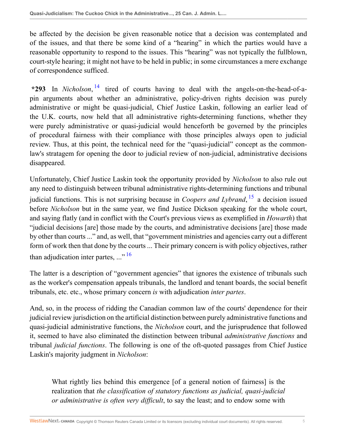be affected by the decision be given reasonable notice that a decision was contemplated and of the issues, and that there be some kind of a "hearing" in which the parties would have a reasonable opportunity to respond to the issues. This "hearing" was not typically the fullblown, court-style hearing; it might not have to be held in public; in some circumstances a mere exchange of correspondence sufficed.

<span id="page-4-0"></span>**\*293** In *Nicholson*, [14](#page-10-12) tired of courts having to deal with the angels-on-the-head-of-apin arguments about whether an administrative, policy-driven rights decision was purely administrative or might be quasi-judicial, Chief Justice Laskin, following an earlier lead of the U.K. courts, now held that all administrative rights-determining functions, whether they were purely administrative or quasi-judicial would henceforth be governed by the principles of procedural fairness with their compliance with those principles always open to judicial review. Thus, at this point, the technical need for the "quasi-judicial" concept as the commonlaw's stratagem for opening the door to judicial review of non-judicial, administrative decisions disappeared.

<span id="page-4-1"></span>Unfortunately, Chief Justice Laskin took the opportunity provided by *Nicholson* to also rule out any need to distinguish between tribunal administrative rights-determining functions and tribunal judicial functions. This is not surprising because in *Coopers and Lybrand*, [15](#page-10-13) a decision issued before *Nicholson* but in the same year, we find Justice Dickson speaking for the whole court, and saying flatly (and in conflict with the Court's previous views as exemplified in *Howarth*) that "judicial decisions [are] those made by the courts, and administrative decisions [are] those made by other than courts ..." and, as well, that "government ministries and agencies carry out a different form of work then that done by the courts ... Their primary concern is with policy objectives, rather than adjudication inter partes,  $\ldots$ <sup>[16](#page-10-14)</sup>

<span id="page-4-2"></span>The latter is a description of "government agencies" that ignores the existence of tribunals such as the worker's compensation appeals tribunals, the landlord and tenant boards, the social benefit tribunals, etc. etc., whose primary concern *is* with adjudication *inter partes*.

And, so, in the process of ridding the Canadian common law of the courts' dependence for their judicial review jurisdiction on the artificial distinction between purely administrative functions and quasi-judicial administrative functions, the *Nicholson* court, and the jurisprudence that followed it, seemed to have also eliminated the distinction between tribunal *administrative functions* and tribunal *judicial functions*. The following is one of the oft-quoted passages from Chief Justice Laskin's majority judgment in *Nicholson*:

What rightly lies behind this emergence [of a general notion of fairness] is the realization that *the classification of statutory functions as judicial, quasi-judicial or administrative is often very difficult*, to say the least; and to endow some with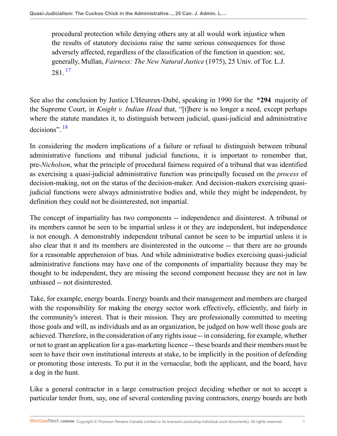<span id="page-5-0"></span>procedural protection while denying others any at all would work injustice when the results of statutory decisions raise the same serious consequences for those adversely affected, regardless of the classification of the function in question: see, generally, Mullan, *Fairness: The New Natural Justice* (1975), 25 Univ. of Tor. L.J.  $281^{17}$  $281^{17}$  $281^{17}$ 

See also the conclusion by Justice L'Heureux-Dubé, speaking in 1990 for the **\*294** majority of the Supreme Court, in *Knight v. Indian Head* that, "[t]here is no longer a need, except perhaps where the statute mandates it, to distinguish between judicial, quasi-judicial and administrative decisions".<sup>[18](#page-10-16)</sup>

<span id="page-5-1"></span>In considering the modern implications of a failure or refusal to distinguish between tribunal administrative functions and tribunal judicial functions, it is important to remember that, pre-*Nicholson*, what the principle of procedural fairness required of a tribunal that was identified as exercising a quasi-judicial administrative function was principally focused on the *process* of decision-making, not on the status of the decision-maker. And decision-makers exercising quasijudicial functions were always administrative bodies and, while they might be independent, by definition they could not be disinterested, not impartial.

The concept of impartiality has two components -- independence and disinterest. A tribunal or its members cannot be seen to be impartial unless it or they are independent, but independence is not enough. A demonstrably independent tribunal cannot be seen to be impartial unless it is also clear that it and its members are disinterested in the outcome -- that there are no grounds for a reasonable apprehension of bias. And while administrative bodies exercising quasi-judicial administrative functions may have one of the components of impartiality because they may be thought to be independent, they are missing the second component because they are not in law unbiased -- not disinterested.

Take, for example, energy boards. Energy boards and their management and members are charged with the responsibility for making the energy sector work effectively, efficiently, and fairly in the community's interest. That is their mission. They are professionally committed to meeting those goals and will, as individuals and as an organization, be judged on how well those goals are achieved. Therefore, in the consideration of any rights issue -- in considering, for example, whether or not to grant an application for a gas-marketing licence -- these boards and their members must be seen to have their own institutional interests at stake, to be implicitly in the position of defending or promoting those interests. To put it in the vernacular, both the applicant, and the board, have a dog in the hunt.

Like a general contractor in a large construction project deciding whether or not to accept a particular tender from, say, one of several contending paving contractors, energy boards are both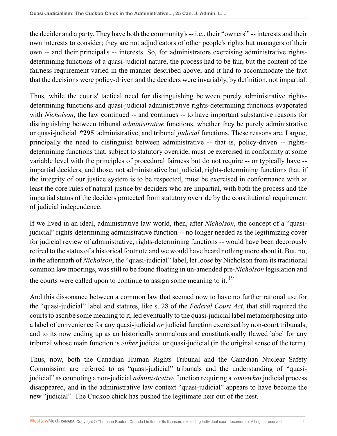the decider and a party. They have both the community's -- i.e., their "owners"' -- interests and their own interests to consider; they are not adjudicators of other people's rights but managers of their own -- and their principal's -- interests. So, for administrators exercising administrative rightsdetermining functions of a quasi-judicial nature, the process had to be fair, but the content of the fairness requirement varied in the manner described above, and it had to accommodate the fact that the decisions were policy-driven and the deciders were invariably, by definition, not impartial.

Thus, while the courts' tactical need for distinguishing between purely administrative rightsdetermining functions and quasi-judicial administrative rights-determining functions evaporated with *Nicholson*, the law continued -- and continues -- to have important substantive reasons for distinguishing between tribunal *administrative* functions, whether they be purely administrative or quasi-judicial **\*295** administrative, and tribunal *judicial* functions. These reasons are, I argue, principally the need to distinguish between administrative -- that is, policy-driven -- rightsdetermining functions that, subject to statutory override, must be exercised in conformity at some variable level with the principles of procedural fairness but do not require -- or typically have - impartial deciders, and those, not administrative but judicial, rights-determining functions that, if the integrity of our justice system is to be respected, must be exercised in conformance with at least the core rules of natural justice by deciders who are impartial, with both the process and the impartial status of the deciders protected from statutory override by the constitutional requirement of judicial independence.

If we lived in an ideal, administrative law world, then, after *Nicholson*, the concept of a "quasijudicial" rights-determining administrative function -- no longer needed as the legitimizing cover for judicial review of administrative, rights-determining functions -- would have been decorously retired to the status of a historical footnote and we would have heard nothing more about it. But, no, in the aftermath of *Nicholson*, the "quasi-judicial" label, let loose by Nicholson from its traditional common law moorings, was still to be found floating in un-amended pre-*Nicholson* legislation and the courts were called upon to continue to assign some meaning to it.  $\frac{19}{2}$  $\frac{19}{2}$  $\frac{19}{2}$ 

<span id="page-6-0"></span>And this dissonance between a common law that seemed now to have no further rational use for the "quasi-judicial" label and statutes, like s. 28 of the *Federal Court Act*, that still required the courts to ascribe some meaning to it, led eventually to the quasi-judicial label metamorphosing into a label of convenience for any quasi-judicial *or* judicial function exercised by non-court tribunals, and to its now ending up as an historically anomalous and constitutionally flawed label for any tribunal whose main function is *either* judicial or quasi-judicial (in the original sense of the term).

Thus, now, both the Canadian Human Rights Tribunal and the Canadian Nuclear Safety Commission are referred to as "quasi-judicial" tribunals and the understanding of "quasijudicial" as connoting a non-judicial *administrative* function requiring a *somewhat* judicial process disappeared, and in the administrative law context "quasi-judicial" appears to have become the new "judicial". The Cuckoo chick has pushed the legitimate heir out of the nest.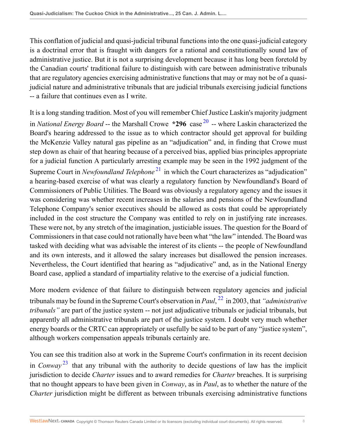This conflation of judicial and quasi-judicial tribunal functions into the one quasi-judicial category is a doctrinal error that is fraught with dangers for a rational and constitutionally sound law of administrative justice. But it is not a surprising development because it has long been foretold by the Canadian courts' traditional failure to distinguish with care between administrative tribunals that are regulatory agencies exercising administrative functions that may or may not be of a quasijudicial nature and administrative tribunals that are judicial tribunals exercising judicial functions -- a failure that continues even as I write.

<span id="page-7-1"></span><span id="page-7-0"></span>It is a long standing tradition. Most of you will remember Chief Justice Laskin's majority judgment in *National Energy Board* -- the Marshall Crowe **\*296** case <sup>[20](#page-10-18)</sup> -- where Laskin characterized the Board's hearing addressed to the issue as to which contractor should get approval for building the McKenzie Valley natural gas pipeline as an "adjudication" and, in finding that Crowe must step down as chair of that hearing because of a perceived bias, applied bias principles appropriate for a judicial function A particularly arresting example may be seen in the 1992 judgment of the Supreme Court in *Newfoundland Telephone*<sup>[21](#page-10-19)</sup> in which the Court characterizes as "adjudication" a hearing-based exercise of what was clearly a regulatory function by Newfoundland's Board of Commissioners of Public Utilities. The Board was obviously a regulatory agency and the issues it was considering was whether recent increases in the salaries and pensions of the Newfoundland Telephone Company's senior executives should be allowed as costs that could be appropriately included in the cost structure the Company was entitled to rely on in justifying rate increases. These were not, by any stretch of the imagination, justiciable issues. The question for the Board of Commissioners in that case could not rationally have been what "the law" intended. The Board was tasked with deciding what was advisable the interest of its clients -- the people of Newfoundland and its own interests, and it allowed the salary increases but disallowed the pension increases. Nevertheless, the Court identified that hearing as "adjudicative" and, as in the National Energy Board case, applied a standard of impartiality relative to the exercise of a judicial function.

<span id="page-7-2"></span>More modern evidence of that failure to distinguish between regulatory agencies and judicial tribunals may be found in the Supreme Court's observation in *Paul*, [22](#page-11-0) in 2003, that *"administrative tribunals"* are part of the justice system -- not just adjudicative tribunals or judicial tribunals, but apparently all administrative tribunals are part of the justice system. I doubt very much whether energy boards or the CRTC can appropriately or usefully be said to be part of any "justice system", although workers compensation appeals tribunals certainly are.

<span id="page-7-3"></span>You can see this tradition also at work in the Supreme Court's confirmation in its recent decision in *Conway* [23](#page-11-1) that any tribunal with the authority to decide questions of law has the implicit jurisdiction to decide *Charter* issues and to award remedies for *Charter* breaches. It is surprising that no thought appears to have been given in *Conway*, as in *Paul*, as to whether the nature of the *Charter* jurisdiction might be different as between tribunals exercising administrative functions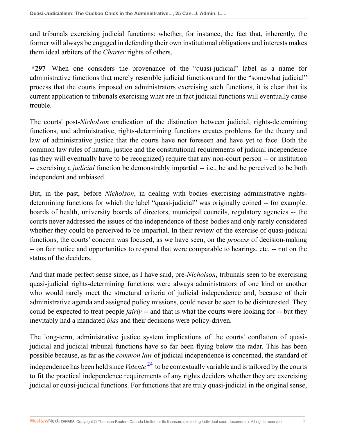and tribunals exercising judicial functions; whether, for instance, the fact that, inherently, the former will always be engaged in defending their own institutional obligations and interests makes them ideal arbiters of the *Charter* rights of others.

**\*297** When one considers the provenance of the "quasi-judicial" label as a name for administrative functions that merely resemble judicial functions and for the "somewhat judicial" process that the courts imposed on administrators exercising such functions, it is clear that its current application to tribunals exercising what are in fact judicial functions will eventually cause trouble.

The courts' post-*Nicholson* eradication of the distinction between judicial, rights-determining functions, and administrative, rights-determining functions creates problems for the theory and law of administrative justice that the courts have not foreseen and have yet to face. Both the common law rules of natural justice and the constitutional requirements of judicial independence (as they will eventually have to be recognized) require that any non-court person -- or institution -- exercising a *judicial* function be demonstrably impartial -- i.e., be and be perceived to be both independent and unbiased.

But, in the past, before *Nicholson*, in dealing with bodies exercising administrative rightsdetermining functions for which the label "quasi-judicial" was originally coined -- for example: boards of health, university boards of directors, municipal councils, regulatory agencies -- the courts never addressed the issues of the independence of those bodies and only rarely considered whether they could be perceived to be impartial. In their review of the exercise of quasi-judicial functions, the courts' concern was focused, as we have seen, on the *process* of decision-making -- on fair notice and opportunities to respond that were comparable to hearings, etc. -- not on the status of the deciders.

And that made perfect sense since, as I have said, pre-*Nicholson*, tribunals seen to be exercising quasi-judicial rights-determining functions were always administrators of one kind or another who would rarely meet the structural criteria of judicial independence and, because of their administrative agenda and assigned policy missions, could never be seen to be disinterested. They could be expected to treat people *fairly* -- and that is what the courts were looking for -- but they inevitably had a mandated *bias* and their decisions were policy-driven.

<span id="page-8-0"></span>The long-term, administrative justice system implications of the courts' conflation of quasijudicial and judicial tribunal functions have so far been flying below the radar. This has been possible because, as far as the *common law* of judicial independence is concerned, the standard of independence has been held since *Valente* [24](#page-11-2) to be contextually variable and is tailored by the courts to fit the practical independence requirements of any rights deciders whether they are exercising judicial or quasi-judicial functions. For functions that are truly quasi-judicial in the original sense,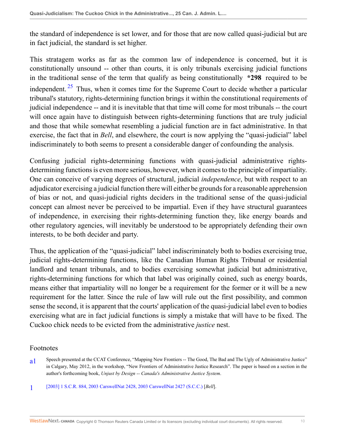the standard of independence is set lower, and for those that are now called quasi-judicial but are in fact judicial, the standard is set higher.

<span id="page-9-2"></span>This stratagem works as far as the common law of independence is concerned, but it is constitutionally unsound -- other than courts, it is only tribunals exercising judicial functions in the traditional sense of the term that qualify as being constitutionally **\*298** required to be independent.  $25$  Thus, when it comes time for the Supreme Court to decide whether a particular tribunal's statutory, rights-determining function brings it within the constitutional requirements of judicial independence -- and it is inevitable that that time will come for most tribunals -- the court will once again have to distinguish between rights-determining functions that are truly judicial and those that while somewhat resembling a judicial function are in fact administrative. In that exercise, the fact that in *Bell*, and elsewhere, the court is now applying the "quasi-judicial" label indiscriminately to both seems to present a considerable danger of confounding the analysis.

Confusing judicial rights-determining functions with quasi-judicial administrative rightsdetermining functions is even more serious, however, when it comes to the principle of impartiality. One can conceive of varying degrees of structural, judicial *independence*, but with respect to an adjudicator exercising a judicial function there will either be grounds for a reasonable apprehension of bias or not, and quasi-judicial rights deciders in the traditional sense of the quasi-judicial concept can almost never be perceived to be impartial. Even if they have structural guarantees of independence, in exercising their rights-determining function they, like energy boards and other regulatory agencies, will inevitably be understood to be appropriately defending their own interests, to be both decider and party.

Thus, the application of the "quasi-judicial" label indiscriminately both to bodies exercising true, judicial rights-determining functions, like the Canadian Human Rights Tribunal or residential landlord and tenant tribunals, and to bodies exercising somewhat judicial but administrative, rights-determining functions for which that label was originally coined, such as energy boards, means either that impartiality will no longer be a requirement for the former or it will be a new requirement for the latter. Since the rule of law will rule out the first possibility, and common sense the second, it is apparent that the courts' application of the quasi-judicial label even to bodies exercising what are in fact judicial functions is simply a mistake that will have to be fixed. The Cuckoo chick needs to be evicted from the administrative *justice* nest.

## Footnotes

- <span id="page-9-0"></span>a<sub>1</sub> Speech presented at the CCAT Conference, "Mapping New Frontiers -- The Good, The Bad and The Ugly of Administrative Justice" in Calgary, May 2012, in the workshop, "New Frontiers of Administrative Justice Research". The paper is based on a section in the author's forthcoming book, *Unjust by Design -- Canada's Administrative Justice System*.
- <span id="page-9-1"></span>[1](#page-0-1) [\[2003\] 1 S.C.R. 884, 2003 CarswellNat 2428, 2003 CarswellNat 2427 \(S.C.C.\)](http://nextcanada.westlaw.com/Link/Document/FullText?findType=Y&serNum=2003060286&pubNum=5156&originatingDoc=I5d379d54604211e28578f7ccc38dcbee&refType=IC&originationContext=document&vr=3.0&rs=cblt1.0&transitionType=DocumentItem&contextData=(sc.Search)) [*Bell*].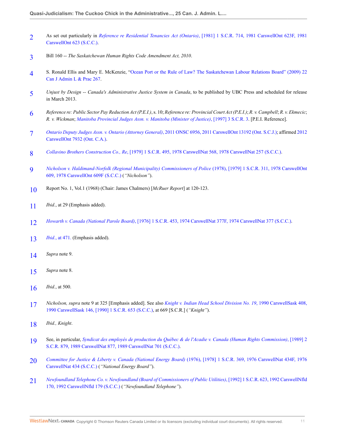- <span id="page-10-0"></span>[2](#page-1-0) As set out particularly in *Reference re Residential Tenancies Act (Ontario)*[, \[1981\] 1 S.C.R. 714, 1981 CarswellOnt 623F, 1981](http://nextcanada.westlaw.com/Link/Document/FullText?findType=Y&serNum=1981177483&pubNum=5156&originatingDoc=I5d379d54604211e28578f7ccc38dcbee&refType=IC&originationContext=document&vr=3.0&rs=cblt1.0&transitionType=DocumentItem&contextData=(sc.Search)) [CarswellOnt 623 \(S.C.C.\)](http://nextcanada.westlaw.com/Link/Document/FullText?findType=Y&serNum=1981177483&pubNum=5156&originatingDoc=I5d379d54604211e28578f7ccc38dcbee&refType=IC&originationContext=document&vr=3.0&rs=cblt1.0&transitionType=DocumentItem&contextData=(sc.Search)).
- <span id="page-10-1"></span>[3](#page-1-1) Bill 160 -- *The Saskatchewan Human Rights Code Amendment Act, 2010*.
- <span id="page-10-2"></span>[4](#page-1-2) S. Ronald Ellis and Mary E. McKenzie, ["Ocean Port or the Rule of Law? The Saskatchewan Labour Relations Board" \(2009\) 22](http://nextcanada.westlaw.com/Link/Document/FullText?findType=Y&serNum=0348998268&pubNum=135178&originatingDoc=I5d379d54604211e28578f7ccc38dcbee&refType=LR&originationContext=document&vr=3.0&rs=cblt1.0&transitionType=DocumentItem&contextData=(sc.Search)) [Can J Admin L & Prac 267](http://nextcanada.westlaw.com/Link/Document/FullText?findType=Y&serNum=0348998268&pubNum=135178&originatingDoc=I5d379d54604211e28578f7ccc38dcbee&refType=LR&originationContext=document&vr=3.0&rs=cblt1.0&transitionType=DocumentItem&contextData=(sc.Search)).
- <span id="page-10-3"></span>[5](#page-1-3) *Unjust by Design -- Canada's Administrative Justice System in Canada*, to be published by UBC Press and scheduled for release in March 2013.
- <span id="page-10-4"></span>[6](#page-1-4) *Reference re: Public Sector Pay Reduction Act (P.E.I.)*, s. 10; *Reference re: Provincial Court Act (P.E.I.)*; *R. v. Campbell*; *R. v. Ekmecic*; *R. v. Wickman*; *[Manitoba Provincial Judges Assn. v. Manitoba \(Minister of Justice\)](http://nextcanada.westlaw.com/Link/Document/FullText?findType=Y&serNum=1997417378&pubNum=5156&originatingDoc=I5d379d54604211e28578f7ccc38dcbee&refType=IC&originationContext=document&vr=3.0&rs=cblt1.0&transitionType=DocumentItem&contextData=(sc.Search))*, [1997] 3 S.C.R. 3. [P.E.I. Reference].
- <span id="page-10-5"></span>[7](#page-1-5) *[Ontario Deputy Judges Assn. v. Ontario \(Attorney General\)](http://nextcanada.westlaw.com/Link/Document/FullText?findType=Y&serNum=2026608352&pubNum=7659&originatingDoc=I5d379d54604211e28578f7ccc38dcbee&refType=IC&originationContext=document&vr=3.0&rs=cblt1.0&transitionType=DocumentItem&contextData=(sc.Search))*, 2011 ONSC 6956, 2011 CarswellOnt 13192 (Ont. S.C.J.); affirmed [2012](http://nextcanada.westlaw.com/Link/Document/FullText?findType=Y&serNum=2027978543&pubNum=5476&originatingDoc=I5d379d54604211e28578f7ccc38dcbee&refType=IC&originationContext=document&vr=3.0&rs=cblt1.0&transitionType=DocumentItem&contextData=(sc.Search)) [CarswellOnt 7932 \(Ont. C.A.\).](http://nextcanada.westlaw.com/Link/Document/FullText?findType=Y&serNum=2027978543&pubNum=5476&originatingDoc=I5d379d54604211e28578f7ccc38dcbee&refType=IC&originationContext=document&vr=3.0&rs=cblt1.0&transitionType=DocumentItem&contextData=(sc.Search))
- <span id="page-10-6"></span>[8](#page-2-0) *Collavino Brothers Construction Co., Re*[, \[1979\] 1 S.C.R. 495, 1978 CarswellNat 568, 1978 CarswellNat 257 \(S.C.C.\).](http://nextcanada.westlaw.com/Link/Document/FullText?findType=Y&serNum=1978153878&pubNum=5156&originatingDoc=I5d379d54604211e28578f7ccc38dcbee&refType=IC&originationContext=document&vr=3.0&rs=cblt1.0&transitionType=DocumentItem&contextData=(sc.Search))
- <span id="page-10-7"></span>[9](#page-2-1) *[Nicholson v. Haldimand-Norfolk \(Regional Municipality\) Commissioners of Police](http://nextcanada.westlaw.com/Link/Document/FullText?findType=Y&serNum=1978158368&pubNum=5156&originatingDoc=I5d379d54604211e28578f7ccc38dcbee&refType=IC&originationContext=document&vr=3.0&rs=cblt1.0&transitionType=DocumentItem&contextData=(sc.Search))* (1978), [1979] 1 S.C.R. 311, 1978 CarswellOnt [609, 1978 CarswellOnt 609F \(S.C.C.\)](http://nextcanada.westlaw.com/Link/Document/FullText?findType=Y&serNum=1978158368&pubNum=5156&originatingDoc=I5d379d54604211e28578f7ccc38dcbee&refType=IC&originationContext=document&vr=3.0&rs=cblt1.0&transitionType=DocumentItem&contextData=(sc.Search)) (*"Nicholson"*).
- <span id="page-10-8"></span>[10](#page-2-2) Report No. 1, Vol.1 (1968) (Chair: James Chalmers) [*McRuer Report*] at 120-123.
- <span id="page-10-9"></span>[11](#page-3-0) *Ibid.*, at 29 (Emphasis added).
- <span id="page-10-10"></span>[12](#page-3-1) *Howarth v. Canada (National Parole Board)*[, \[1976\] 1 S.C.R. 453, 1974 CarswellNat 377F, 1974 CarswellNat 377 \(S.C.C.\)](http://nextcanada.westlaw.com/Link/Document/FullText?findType=Y&serNum=1974145472&pubNum=5156&originatingDoc=I5d379d54604211e28578f7ccc38dcbee&refType=IC&originationContext=document&vr=3.0&rs=cblt1.0&transitionType=DocumentItem&contextData=(sc.Search)).
- <span id="page-10-11"></span>[13](#page-3-2) *Ibid.*[, at 471.](http://nextcanada.westlaw.com/Link/Document/FullText?findType=Y&serNum=1974145472&originatingDoc=I5d379d54604211e28578f7ccc38dcbee&refType=IC&originationContext=document&vr=3.0&rs=cblt1.0&transitionType=DocumentItem&contextData=(sc.Search)) (Emphasis added).
- <span id="page-10-12"></span>[14](#page-4-0) *Supra* note 9.
- <span id="page-10-13"></span>[15](#page-4-1) *Supra* note 8.
- <span id="page-10-14"></span>[16](#page-4-2) *Ibid.*, at 500.
- <span id="page-10-15"></span>[17](#page-5-0) *Nicholson, supra* note 9 at 325 [Emphasis added]. See also *[Knight v. Indian Head School Division No. 19](http://nextcanada.westlaw.com/Link/Document/FullText?findType=Y&serNum=1990313303&pubNum=5477&originatingDoc=I5d379d54604211e28578f7ccc38dcbee&refType=IC&originationContext=document&vr=3.0&rs=cblt1.0&transitionType=DocumentItem&contextData=(sc.Search))*, 1990 CarswellSask 408, [1990 CarswellSask 146, \[1990\] 1 S.C.R. 653 \(S.C.C.\),](http://nextcanada.westlaw.com/Link/Document/FullText?findType=Y&serNum=1990313303&pubNum=5477&originatingDoc=I5d379d54604211e28578f7ccc38dcbee&refType=IC&originationContext=document&vr=3.0&rs=cblt1.0&transitionType=DocumentItem&contextData=(sc.Search)) at 669 [S.C.R.] (*"Knight"*).
- <span id="page-10-16"></span>[18](#page-5-1) *Ibid., Knight*.
- <span id="page-10-17"></span>[19](#page-6-0) See, in particular, *[Syndicat des employés de production du Québec & de l'Acadie v. Canada \(Human Rights Commission\)](http://nextcanada.westlaw.com/Link/Document/FullText?findType=Y&serNum=1989313711&pubNum=5156&originatingDoc=I5d379d54604211e28578f7ccc38dcbee&refType=IC&originationContext=document&vr=3.0&rs=cblt1.0&transitionType=DocumentItem&contextData=(sc.Search))*, [1989] 2 [S.C.R. 879, 1989 CarswellNat 877, 1989 CarswellNat 701 \(S.C.C.\)](http://nextcanada.westlaw.com/Link/Document/FullText?findType=Y&serNum=1989313711&pubNum=5156&originatingDoc=I5d379d54604211e28578f7ccc38dcbee&refType=IC&originationContext=document&vr=3.0&rs=cblt1.0&transitionType=DocumentItem&contextData=(sc.Search)).
- <span id="page-10-18"></span>[20](#page-7-0) *[Committee for Justice & Liberty v. Canada \(National Energy Board\)](http://nextcanada.westlaw.com/Link/Document/FullText?findType=Y&serNum=1976148610&pubNum=5156&originatingDoc=I5d379d54604211e28578f7ccc38dcbee&refType=IC&originationContext=document&vr=3.0&rs=cblt1.0&transitionType=DocumentItem&contextData=(sc.Search))* (1976), [1978] 1 S.C.R. 369, 1976 CarswellNat 434F, 1976 [CarswellNat 434 \(S.C.C.\)](http://nextcanada.westlaw.com/Link/Document/FullText?findType=Y&serNum=1976148610&pubNum=5156&originatingDoc=I5d379d54604211e28578f7ccc38dcbee&refType=IC&originationContext=document&vr=3.0&rs=cblt1.0&transitionType=DocumentItem&contextData=(sc.Search)) (*"National Energy Board"*).
- <span id="page-10-19"></span>[21](#page-7-1) *[Newfoundland Telephone Co. v. Newfoundland \(Board of Commissioners of Public Utilities\)](http://nextcanada.westlaw.com/Link/Document/FullText?findType=Y&serNum=1992365864&pubNum=5156&originatingDoc=I5d379d54604211e28578f7ccc38dcbee&refType=IC&originationContext=document&vr=3.0&rs=cblt1.0&transitionType=DocumentItem&contextData=(sc.Search))*, [1992] 1 S.C.R. 623, 1992 CarswellNfld [170, 1992 CarswellNfld 179 \(S.C.C.\)](http://nextcanada.westlaw.com/Link/Document/FullText?findType=Y&serNum=1992365864&pubNum=5156&originatingDoc=I5d379d54604211e28578f7ccc38dcbee&refType=IC&originationContext=document&vr=3.0&rs=cblt1.0&transitionType=DocumentItem&contextData=(sc.Search)) (*"Newfoundland Telephone"*).